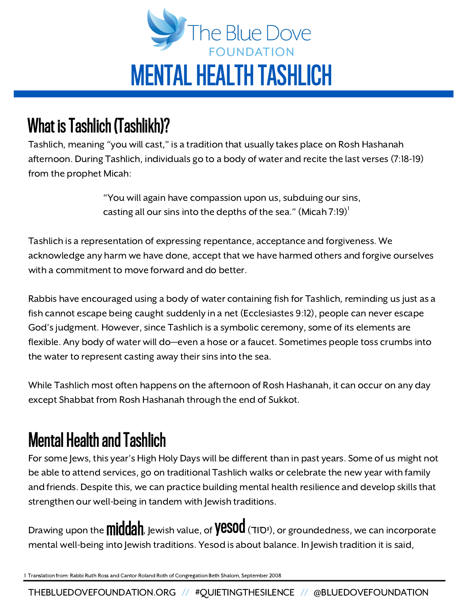

## What is Tashlich (Tashlikh)?

Tashlich, meaning "you will cast," is a tradition that usually takes place on Rosh Hashanah afternoon. During Tashlich, individuals go to a body of water and recite the last verses(7:18-19) from the prophet Micah:

> casting all our sins into the depths of the sea." (Micah 7:19) $^{\rm l}$ "You will again have compassion upon us, subduing our sins,

Tashlich is a representation of expressing repentance, acceptance and forgiveness. We acknowledge any harm we have done, accept that we have harmed others and forgive ourselves with a commitment to move forward and do better.

Rabbis have encouraged using a body of water containing fish for Tashlich, reminding us just as a fish cannot escape being caught suddenly in a net (Ecclesiastes 9:12), people can never escape God's judgment. However, since Tashlich is a symbolic ceremony, some of its elements are flexible. Any body of water will do—even a hose or a faucet. Sometimes people toss crumbs into the water to represent casting away their sins into the sea.

While Tashlich most often happens on the afternoon of Rosh Hashanah, it can occur on any day except Shabbat from Rosh Hashanah through the end of Sukkot.

## **Mental Health and Tashlich**

For some Jews, this year's High Holy Days will be different than in past years. Some of us might not be able to attend services, go on traditional Tashlich walks or celebrate the new year with family and friends. Despite this, we can practice building mental health resilience and develop skills that strengthen our well-being in tandem with Jewish traditions.

Drawing upon the **Middah**, Jewish value, of **YESOd** (יסוד), or groundedness, we can incorporate mental well-being into Jewish traditions. Yesod is about balance. In Jewish tradition it is said,

1 Translation from: Rabbi Ruth Ross and Cantor Roland Roth of Congregation Beth Shalom, September 2008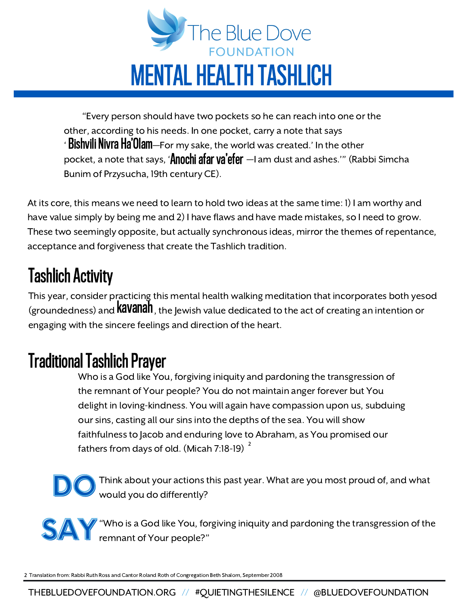

"Every person should have two pockets so he can reach into one or the other, according to his needs. In one pocket, carry a note that says  $^\cdot$   $\operatorname{\sf Bish}$ vili  $\operatorname{\sf Niv}$ ra  $\operatorname{\sf Ha}^\cdot 0$ lam $-$ For my sake, the world was created.' In the other pocket, a note that says, '**Anochi afar va'efer** —I am dust and ashes.'" (Rabbi Simcha Bunim of Przysucha, 19th century CE).

At its core, this means we need to learn to hold two ideas at the same time: 1) I am worthy and have value simply by being me and 2) I have flaws and have made mistakes, so I need to grow. These two seemingly opposite, but actually synchronousideas, mirror the themes of repentance, acceptance and forgivenessthat create the Tashlich tradition.

## **Tashlich Activity**

This year, consider practicing this mental health walking meditation that incorporates both yesod (groundedness) and  $k$ avanah, the Jewish value dedicated to the act of creating an intention or engaging with the sincere feelings and direction of the heart.

## **Traditional Tashlich Prayer**

fathers from days of old. (Micah 7:18-19)  $\degree$ Who is a God like You, forgiving iniquity and pardoning the transgression of the remnant of Your people? You do not maintain anger forever but You delight in loving-kindness. You will again have compassion upon us, subduing our sins, casting all our sins into the depths of the sea. You will show faithfulness to Jacob and enduring love to Abraham, as You promised our

Think about your actions this past year. What are you most proud of, and what **DO** Think about your actions to would you do differently?

"Who is a God like You, forgiving iniquity and pardoning the transgression of the **SAY** "Who is a God like You, for remnant of Your people?"

2 Translation from: Rabbi Ruth Ross and Cantor Roland Roth of Congregation Beth Shalom, September 2008